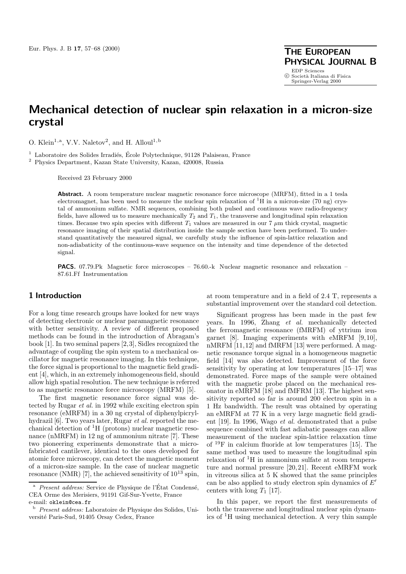**PHYSICAL JOURNAL B**

EDP Sciences<br>© Società Italiana di Fisica Springer-Verlag 2000

# **Mechanical detection of nuclear spin relaxation in a micron-size crystal**

O. Klein<sup>1,a</sup>, V.V. Naletov<sup>2</sup>, and H. Alloul<sup>1,b</sup>

 $1$  Laboratoire des Solides Irradiés, École Polytechnique, 91128 Palaiseau, France

<sup>2</sup> Physics Department, Kazan State University, Kazan, 420008, Russia

Received 23 February 2000

**Abstract.** A room temperature nuclear magnetic resonance force microscope (MRFM), fitted in a 1 tesla electromagnet, has been used to measure the nuclear spin relaxation of  ${}^{1}H$  in a micron-size (70 ng) crystal of ammonium sulfate. NMR sequences, combining both pulsed and continuous wave radio-frequency fields, have allowed us to measure mechanically  $T_2$  and  $T_1$ , the transverse and longitudinal spin relaxation times. Because two spin species with different  $T_1$  values are measured in our 7  $\mu$ m thick crystal, magnetic resonance imaging of their spatial distribution inside the sample section have been performed. To understand quantitatively the measured signal, we carefully study the influence of spin-lattice relaxation and non-adiabaticity of the continuous-wave sequence on the intensity and time dependence of the detected signal.

**PACS.** 07.79.Pk Magnetic force microscopes – 76.60.-k Nuclear magnetic resonance and relaxation – 87.61.Ff Instrumentation

## **1 Introduction**

For a long time research groups have looked for new ways of detecting electronic or nuclear paramagnetic resonance with better sensitivity. A review of different proposed methods can be found in the introduction of Abragam's book [1]. In two seminal papers [2,3], Sidles recognized the advantage of coupling the spin system to a mechanical oscillator for magnetic resonance imaging. In this technique, the force signal is proportional to the magnetic field gradient [4], which, in an extremely inhomogeneous field, should allow high spatial resolution. The new technique is referred to as magnetic resonance force microscopy (MRFM) [5].

The first magnetic resonance force signal was detected by Rugar et al. in 1992 while exciting electron spin resonance (eMRFM) in a 30 ng crystal of diphenylpicrylhydrazil [6]. Two years later, Rugar et al. reported the mechanical detection of <sup>1</sup>H (protons) nuclear magnetic resonance (nMRFM) in 12 ng of ammonium nitrate [7]. These two pioneering experiments demonstrate that a microfabricated cantilever, identical to the ones developed for atomic force microscopy, can detect the magnetic moment of a micron-size sample. In the case of nuclear magnetic resonance (NMR) [7], the achieved sensitivity of  $10^{13}$  spin,

at room temperature and in a field of 2.4 T, represents a substantial improvement over the standard coil detection.

Significant progress has been made in the past few years. In 1996, Zhang et al. mechanically detected the ferromagnetic resonance (fMRFM) of yttrium iron garnet [8]. Imaging experiments with eMRFM [9,10], nMRFM [11,12] and fMRFM [13] were performed. A magnetic resonance torque signal in a homogeneous magnetic field [14] was also detected. Improvement of the force sensitivity by operating at low temperatures [15–17] was demonstrated. Force maps of the sample were obtained with the magnetic probe placed on the mechanical resonator in eMRFM [18] and fMFRM [13]. The highest sensitivity reported so far is around 200 electron spin in a 1 Hz bandwidth. The result was obtained by operating an eMRFM at 77 K in a very large magnetic field gradient [19]. In 1996, Wago et al. demonstrated that a pulse sequence combined with fast adiabatic passages can allow measurement of the nuclear spin-lattice relaxation time of <sup>19</sup>F in calcium fluoride at low temperatures [15]. The same method was used to measure the longitudinal spin relaxation of <sup>1</sup>H in ammonium sulfate at room temperature and normal pressure [20,21]. Recent eMRFM work in vitreous silica at 5 K showed that the same principles can be also applied to study electron spin dynamics of  $E'$ centers with long  $T_1$  [17].

In this paper, we report the first measurements of both the transverse and longitudinal nuclear spin dynamics of  ${}^{1}H$  using mechanical detection. A very thin sample

Present address: Service de Physique de l'État Condensé, CEA Orme des Merisiers, 91191 Gif-Sur-Yvette, France e-mail: oklein@cea.fr

<sup>b</sup> Present address: Laboratoire de Physique des Solides, Université Paris-Sud, 91405 Orsay Cedex, France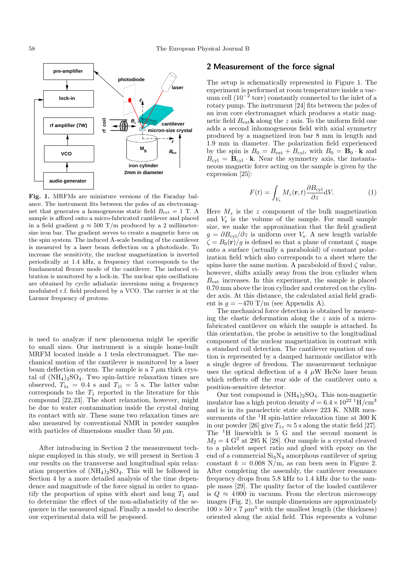

**Fig. 1.** MRFMs are miniature versions of the Faraday balance. The instrument fits between the poles of an electromagnet that generates a homogeneous static field  $B_{\text{ext}} = 1$  T. A sample is affixed onto a micro-fabricated cantilever and placed in a field gradient  $q \approx 500$  T/m produced by a 2 millimetersize iron bar. The gradient serves to create a magnetic force on the spin system. The induced  $A$ -scale bending of the cantilever is measured by a laser beam deflection on a photodiode. To increase the sensitivity, the nuclear magnetization is inverted periodically at 1.4 kHz, a frequency that corresponds to the fundamental flexure mode of the cantilever. The induced vibration is monitored by a lock-in. The nuclear spin oscillations are obtained by cyclic adiabatic inversions using a frequency modulated r.f. field produced by a VCO. The carrier is at the Larmor frequency of protons.

is used to analyze if new phenomena might be specific to small sizes. Our instrument is a simple home-built MRFM located inside a 1 tesla electromagnet. The mechanical motion of the cantilever is monitored by a laser beam deflection system. The sample is a 7  $\mu \mathrm{m}$  thick crystal of  $(NH_4)_2SO_4$ . Two spin-lattice relaxation times are observed,  $T_{1s} = 0.4$  s and  $T_{11} = 5$  s. The latter value corresponds to the  $T_1$  reported in the literature for this compound [22,23]. The short relaxation, however, might be due to water contamination inside the crystal during its contact with air. These same two relaxation times are also measured by conventional NMR in powder samples with particles of dimensions smaller than 50  $\mu$ m.

After introducing in Section 2 the measurement technique employed in this study, we will present in Section 3 our results on the transverse and longitudinal spin relaxation properties of  $(NH_4)_2SO_4$ . This will be followed in Section 4 by a more detailed analysis of the time dependence and magnitude of the force signal in order to quantify the proportion of spins with short and long  $T_1$  and to determine the effect of the non-adiabaticity of the sequence in the measured signal. Finally a model to describe our experimental data will be proposed.

#### **2 Measurement of the force signal**

The setup is schematically represented in Figure 1. The experiment is performed at room temperature inside a vacuum cell  $(10^{-2} \text{ torr})$  constantly connected to the inlet of a rotary pump. The instrument [24] fits between the poles of an iron core electromagnet which produces a static magnetic field  $B_{\text{ext}}$ **k** along the z axis. To the uniform field one adds a second inhomogeneous field with axial symmetry produced by a magnetized iron bar 8 mm in length and 1.9 mm in diameter. The polarization field experienced by the spin is  $B_0 = B_{ext} + B_{cyl}$ , with  $B_0 = \mathbf{B}_0 \cdot \mathbf{k}$  and  $B_{\text{cyl}} = \mathbf{B}_{\text{cyl}} \cdot \mathbf{k}$ . Near the symmetry axis, the instantaneous magnetic force acting on the sample is given by the expression [25]:

$$
F(t) = \int_{V_{\rm s}} M_z(\mathbf{r}, t) \frac{\partial B_{\rm cyl}}{\partial z} dV.
$$
 (1)

Here  $M_z$  is the z component of the bulk magnetization and  $V<sub>s</sub>$  is the volume of the sample. For small sample size, we make the approximation that the field gradient  $g = \partial B_{\text{cyl}}/\partial z$  is uniform over  $V_s$ . A new length variable  $\zeta = B_0(\mathbf{r})/g$  is defined so that a plane of constant  $\zeta$  maps onto a surface (actually a paraboloid) of constant polarization field which also corresponds to a sheet where the spins have the same motion. A paraboloid of fixed  $\zeta$  value, however, shifts axially away from the iron cylinder when  $B<sub>ext</sub>$  increases. In this experiment, the sample is placed 0.70 mm above the iron cylinder and centered on the cylinder axis. At this distance, the calculated axial field gradient is  $g = -470$  T/m (see Appendix A).

The mechanical force detection is obtained by measuring the elastic deformation along the  $z$  axis of a microfabricated cantilever on which the sample is attached. In this orientation, the probe is sensitive to the longitudinal component of the nuclear magnetization in contrast with a standard coil detection. The cantilever equation of motion is represented by a damped harmonic oscillator with a single degree of freedom. The measurement technique uses the optical deflection of a 4  $\mu$ W HeNe laser beam which reflects off the rear side of the cantilever onto a position-sensitive detector.

Our test compound is  $(NH_4)_2SO_4$ . This non-magnetic insulator has a high proton density  $d = 6.4 \times 10^{22} \text{ H/cm}^3$ and is in its paraelectric state above 223 K. NMR measurements of the <sup>1</sup>H spin-lattice relaxation time at 300 K in our powder [26] give  $T_{1z} \approx 5$  s along the static field [27]. The <sup>1</sup>H linewidth is 5 G and the second moment is  $M_2 = 4 \text{ G}^2$  at 295 K [28]. Our sample is a crystal cleaved to a platelet aspect ratio and glued with epoxy on the end of a commercial  $Si<sub>3</sub>N<sub>4</sub>$  amorphous cantilever of spring constant  $k = 0.008$  N/m, as can been seen in Figure 2. After completing the assembly, the cantilever resonance frequency drops from 5.8 kHz to 1.4 kHz due to the sample mass [29]. The quality factor of the loaded cantilever is  $Q \approx 4000$  in vacuum. From the electron microscopy images (Fig. 2), the sample dimensions are approximately  $100 \times 50 \times 7 \ \mu m^3$  with the smallest length (the thickness) oriented along the axial field. This represents a volume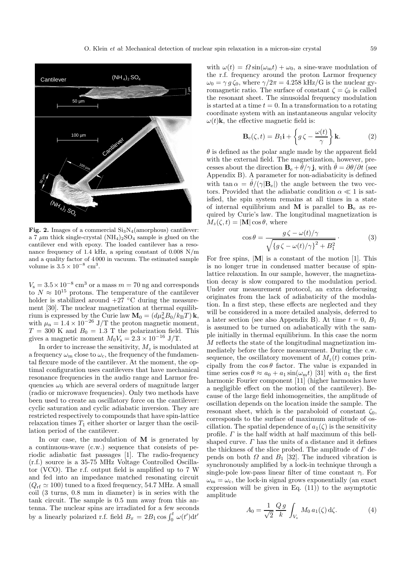

**Fig. 2.** Images of a commercial  $Si<sub>3</sub>N<sub>4</sub>(amorphous)$  cantilever: a 7  $\mu$ m thick single-crystal (NH<sub>4</sub>)<sub>2</sub>SO<sub>4</sub> sample is glued on the cantilever end with epoxy. The loaded cantilever has a resonance frequency of 1.4 kHz, a spring constant of 0.008 N/m and a quality factor of 4 000 in vacuum. The estimated sample volume is  $3.5 \times 10^{-8}$  cm<sup>3</sup>.

 $V_s = 3.5 \times 10^{-8}$  cm<sup>3</sup> or a mass  $m = 70$  ng and corresponds to  $N \approx 10^{15}$  protons. The temperature of the cantilever holder is stabilized around  $+27$  °C during the measurement [30]. The nuclear magnetization at thermal equilibrium is expressed by the Curie law  $\mathbf{M}_0 = (d\mu_n^2 B_0 / k_B T) \mathbf{k}$ , with  $\mu_n = 1.4 \times 10^{-26}$  J/T the proton magnetic moment,  $T = 300$  K and  $B_0 = 1.3$  T the polarization field. This gives a magnetic moment  $M_0V_s = 2.3 \times 10^{-16}$  J/T.

In order to increase the sensitivity,  $M_z$  is modulated at a frequency  $\omega_{\rm m}$  close to  $\omega_{\rm c}$ , the frequency of the fundamental flexure mode of the cantilever. At the moment, the optimal configuration uses cantilevers that have mechanical resonance frequencies in the audio range and Larmor frequencies  $\omega_0$  which are several orders of magnitude larger (radio or microwave frequencies). Only two methods have been used to create an oscillatory force on the cantilever: cyclic saturation and cyclic adiabatic inversion. They are restricted respectively to compounds that have spin-lattice relaxation times  $T_1$  either shorter or larger than the oscillation period of the cantilever.

In our case, the modulation of **M** is generated by a continuous-wave (c.w.) sequence that consists of periodic adiabatic fast passages [1]. The radio-frequency (r.f.) source is a 35-75 MHz Voltage Controlled Oscillator (VCO). The r.f. output field is amplified up to 7 W and fed into an impedance matched resonating circuit  $(Q_{\text{rf}} \simeq 100)$  tuned to a fixed frequency, 54.7 MHz. A small coil (3 turns, 0.8 mm in diameter) is in series with the tank circuit. The sample is 0.5 mm away from this antenna. The nuclear spins are irradiated for a few seconds by a linearly polarized r.f. field  $B_x = 2B_1 \cos \int_0^t \omega(t') dt'$ 

with  $\omega(t) = \Omega \sin(\omega_m t) + \omega_0$ , a sine-wave modulation of the r.f. frequency around the proton Larmor frequency  $\omega_0 = \gamma g \zeta_0$ , where  $\gamma/2\pi = 4.258$  kHz/G is the nuclear gyromagnetic ratio. The surface of constant  $\zeta = \zeta_0$  is called the resonant sheet. The sinusoidal frequency modulation is started at a time  $t = 0$ . In a transformation to a rotating coordinate system with an instantaneous angular velocity  $\omega(t)$ **k**, the effective magnetic field is:

$$
\mathbf{B}_{e}(\zeta, t) = B_{1}\mathbf{i} + \left\{ g\,\zeta - \frac{\omega(t)}{\gamma} \right\} \mathbf{k}.\tag{2}
$$

 $\theta$  is defined as the polar angle made by the apparent field with the external field. The magnetization, however, precesses about the direction  $\mathbf{B}_{e} + \dot{\theta}/\gamma \mathbf{j}$ , with  $\dot{\theta} = \partial \theta/\partial t$  (see Appendix B). A parameter for non-adiabaticity is defined with tan  $\alpha = \dot{\theta}/(\gamma |B_e|)$  the angle between the two vectors. Provided that the adiabatic condition  $\alpha \ll 1$  is satisfied, the spin system remains at all times in a state of internal equilibrium and  $M$  is parallel to  $B_e$  as required by Curie's law. The longitudinal magnetization is  $M_z(\zeta, t) = |\mathbf{M}| \cos \theta$ , where

$$
\cos \theta = \frac{g \zeta - \omega(t)/\gamma}{\sqrt{\{g \zeta - \omega(t)/\gamma\}^2 + B_1^2}}.
$$
 (3)

For free spins, |**M**| is a constant of the motion [1]. This is no longer true in condensed matter because of spinlattice relaxation. In our sample, however, the magnetization decay is slow compared to the modulation period. Under our measurement protocol, an extra defocusing originates from the lack of adiabaticity of the modulation. In a first step, these effects are neglected and they will be considered in a more detailed analysis, deferred to a later section (see also Appendix B). At time  $t = 0$ ,  $B_1$ is assumed to be turned on adiabatically with the sample initially in thermal equilibrium. In this case the norm M reflects the state of the longitudinal magnetization immediately before the force measurement. During the c.w. sequence, the oscillatory movement of  $M_z(t)$  comes principally from the  $\cos \theta$  factor. The value is expanded in time series  $\cos \theta \approx a_0 + a_1 \sin(\omega_m t)$  [31] with  $a_1$  the first harmonic Fourier component [11] (higher harmonics have a negligible effect on the motion of the cantilever). Because of the large field inhomogeneities, the amplitude of oscillation depends on the location inside the sample. The resonant sheet, which is the paraboloid of constant  $\zeta_0$ , corresponds to the surface of maximum amplitude of oscillation. The spatial dependence of  $a_1(\zeta)$  is the sensitivity profile.  $\Gamma$  is the half width at half maximum of this bellshaped curve.  $\Gamma$  has the units of a distance and it defines the thickness of the slice probed. The amplitude of  $\Gamma$  depends on both  $\Omega$  and  $B_1$  [32]. The induced vibration is synchronously amplified by a lock-in technique through a single-pole low-pass linear filter of time constant  $\tau_1$ . For  $\omega_m = \omega_c$ , the lock-in signal grows exponentially (an exact expression will be given in Eq.  $(11)$  to the asymptotic amplitude

$$
A_0 = \frac{1}{\sqrt{2}} \frac{Q g}{k} \int_{V_s} M_0 a_1(\zeta) d\zeta.
$$
 (4)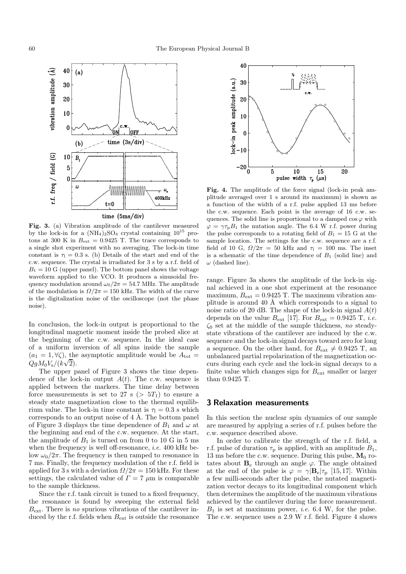

**Fig. 3.** (a) Vibration amplitude of the cantilever measured by the lock-in for a  $(NH_4)_2SO_4$  crystal containing  $10^{15}$  protons at 300 K in  $B_{\text{ext}} = 0.9425$  T. The trace corresponds to a single shot experiment with no averaging. The lock-in time constant is  $\tau_1 = 0.3$  s. (b) Details of the start and end of the c.w. sequence. The crystal is irradiated for 3 s by a r.f. field of  $B_1 = 10$  G (upper panel). The bottom panel shows the voltage waveform applied to the VCO. It produces a sinusoidal frequency modulation around  $\omega_0/2\pi = 54.7$  MHz. The amplitude of the modulation is  $\Omega/2\pi = 150$  kHz. The width of the curve is the digitalization noise of the oscilloscope (not the phase noise).

In conclusion, the lock-in output is proportional to the longitudinal magnetic moment inside the probed slice at the beginning of the c.w. sequence. In the ideal case of a uniform inversion of all spins inside the sample  $(a_1 = 1, \forall \zeta)$ , the asymptotic amplitude would be  $A_{\text{tot}} =$  $QgM_0V_s/(k\sqrt{2}).$ 

The upper panel of Figure 3 shows the time dependence of the lock-in output  $A(t)$ . The c.w. sequence is applied between the markers. The time delay between force measurements is set to 27 s ( $> 5T_1$ ) to ensure a steady state magnetization close to the thermal equilibrium value. The lock-in time constant is  $\tau_1 = 0.3$  s which corresponds to an output noise of  $4 \text{ Å}$ . The bottom panel of Figure 3 displays the time dependence of  $B_1$  and  $\omega$  at the beginning and end of the c.w. sequence. At the start, the amplitude of  $B_1$  is turned on from 0 to 10 G in 5 ms when the frequency is well off-resonance, *i.e.* 400 kHz below  $\omega_0/2\pi$ . The frequency is then ramped to resonance in 7 ms. Finally, the frequency modulation of the r.f. field is applied for 3 s with a deviation  $\Omega/2\pi = 150$  kHz. For these settings, the calculated value of  $\Gamma = 7 \mu m$  is comparable to the sample thickness.

Since the r.f. tank circuit is tuned to a fixed frequency, the resonance is found by sweeping the external field  $B_{\text{ext}}$ . There is no spurious vibrations of the cantilever induced by the r.f. fields when  $B_{\text{ext}}$  is outside the resonance



**Fig. 4.** The amplitude of the force signal (lock-in peak amplitude averaged over 1 s around its maximum) is shown as a function of the width of a r.f. pulse applied 13 ms before the c.w. sequence. Each point is the average of 16 c.w. sequences. The solid line is proportional to a damped  $\cos \varphi$  with  $\varphi = \gamma \tau_{\rm p} B_1$  the nutation angle. The 6.4 W r.f. power during the pulse corresponds to a rotating field of  $B_1 = 15$  G at the sample location. The settings for the c.w. sequence are a r.f. field of 10 G,  $\Omega/2\pi = 50$  kHz and  $\tau_1 = 100$  ms. The inset is a schematic of the time dependence of  $B_1$  (solid line) and  $\omega$  (dashed line).

range. Figure 3a shows the amplitude of the lock-in signal achieved in a one shot experiment at the resonance maximum,  $B_{\text{ext}} = 0.9425$  T. The maximum vibration amplitude is around 40 Å which corresponds to a signal to noise ratio of 20 dB. The shape of the lock-in signal  $A(t)$ depends on the value  $B_{\text{ext}}$  [17]. For  $B_{\text{ext}} = 0.9425$  T, *i.e.*  $\zeta_0$  set at the middle of the sample thickness, no steadystate vibrations of the cantilever are induced by the c.w. sequence and the lock-in signal decays toward zero for long a sequence. On the other hand, for  $B_{\text{ext}} \neq 0.9425$  T, an unbalanced partial repolarization of the magnetization occurs during each cycle and the lock-in signal decays to a finite value which changes sign for  $B_{\text{ext}}$  smaller or larger than 0.9425 T.

#### **3 Relaxation measurements**

In this section the nuclear spin dynamics of our sample are measured by applying a series of r.f. pulses before the c.w. sequence described above.

In order to calibrate the strength of the r.f. field, a r.f. pulse of duration  $\tau_p$  is applied, with an amplitude  $B_1$ , 13 ms before the c.w. sequence. During this pulse,  $M_0$  rotates about  $\mathbf{B}_e$  through an angle  $\varphi$ . The angle obtained at the end of the pulse is  $\varphi = \gamma |B_e|\tau_p$  [15,17]. Within a few milli-seconds after the pulse, the nutated magnetization vector decays to its longitudinal component which then determines the amplitude of the maximum vibrations achieved by the cantilever during the force measurement.  $B_1$  is set at maximum power, *i.e.* 6.4 W, for the pulse. The c.w. sequence uses a 2.9 W r.f. field. Figure 4 shows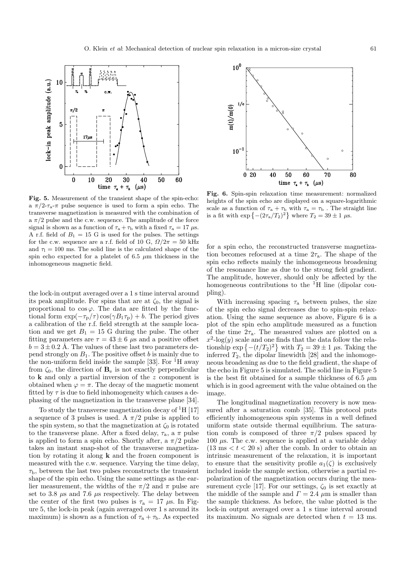

**Fig. 5.** Measurement of the transient shape of the spin-echo: a  $\pi/2$ - $\tau_a$ - $\pi$  pulse sequence is used to form a spin echo. The transverse magnetization is measured with the combination of a  $\pi/2$  pulse and the c.w. sequence. The amplitude of the force signal is shown as a function of  $\tau_a + \tau_b$  with a fixed  $\tau_a = 17 \mu s$ . A r.f. field of  $B_1 = 15$  G is used for the pulses. The settings for the c.w. sequence are a r.f. field of 10 G,  $\Omega/2\pi = 50$  kHz and  $\tau_1 = 100$  ms. The solid line is the calculated shape of the spin echo expected for a platelet of 6.5  $\mu$ m thickness in the inhomogeneous magnetic field.

the lock-in output averaged over a 1 s time interval around its peak amplitude. For spins that are at  $\zeta_0$ , the signal is proportional to  $\cos \varphi$ . The data are fitted by the functional form  $\exp(-\tau_{\rm p}/\tau)\cos(\gamma B_1\tau_{\rm p}) + b$ . The period gives a calibration of the r.f. field strength at the sample location and we get  $B_1 = 15$  G during the pulse. The other fitting parameters are  $\tau = 43 \pm 6$  µs and a positive offset  $b = 3 \pm 0.2$  Å. The values of these last two parameters depend strongly on  $B_1$ . The positive offset b is mainly due to the non-uniform field inside the sample [33]. For  ${}^{1}$ H away from  $\zeta_0$ , the direction of  $\mathbf{B}_e$  is not exactly perpendicular to **k** and only a partial inversion of the z component is obtained when  $\varphi = \pi$ . The decay of the magnetic moment fitted by  $\tau$  is due to field inhomogeneity which causes a dephasing of the magnetization in the transverse plane [34].

To study the transverse magnetization decay of  ${}^{1}$ H [17] a sequence of 3 pulses is used. A  $\pi/2$  pulse is applied to the spin system, so that the magnetization at  $\zeta_0$  is rotated to the transverse plane. After a fixed delay,  $\tau_a$ , a  $\pi$  pulse is applied to form a spin echo. Shortly after, a  $\pi/2$  pulse takes an instant snap-shot of the transverse magnetization by rotating it along **k** and the frozen component is measured with the c.w. sequence. Varying the time delay,  $\tau_{\rm b}$ , between the last two pulses reconstructs the transient shape of the spin echo. Using the same settings as the earlier measurement, the widths of the  $\pi/2$  and  $\pi$  pulse are set to 3.8  $\mu$ s and 7.6  $\mu$ s respectively. The delay between the center of the first two pulses is  $\tau_a = 17 \mu s$ . In Figure 5, the lock-in peak (again averaged over 1 s around its maximum) is shown as a function of  $\tau_a + \tau_b$ . As expected



**Fig. 6.** Spin-spin relaxation time measurement: normalized heights of the spin echo are displayed on a square-logarithmic scale as a function of  $\tau_a + \tau_b$  with  $\tau_a = \tau_b$ . The straight line is a fit with  $\exp \left\{-(2\tau_a/T_2)^2\right\}$  where  $T_2 = 39 \pm 1 \,\mu s$ .

for a spin echo, the reconstructed transverse magnetization becomes refocused at a time  $2\tau_a$ . The shape of the spin echo reflects mainly the inhomogeneous broadening of the resonance line as due to the strong field gradient. The amplitude, however, should only be affected by the homogeneous contributions to the  ${}^{1}H$  line (dipolar coupling).

With increasing spacing  $\tau_a$  between pulses, the size of the spin echo signal decreases due to spin-spin relaxation. Using the same sequence as above, Figure 6 is a plot of the spin echo amplitude measured as a function of the time  $2\tau_a$ . The measured values are plotted on a  $x^2$ -log(y) scale and one finds that the data follow the relationship  $\exp\left\{-\left(\frac{t}{T_2}\right)^2\right\}$  with  $T_2 = 39 \pm 1$   $\mu$ s. Taking the inferred  $T_2$ , the dipolar linewidth [28] and the inhomogeneous broadening as due to the field gradient, the shape of the echo in Figure 5 is simulated. The solid line in Figure 5 is the best fit obtained for a sample thickness of 6.5  $\mu$ m which is in good agreement with the value obtained on the image.

The longitudinal magnetization recovery is now measured after a saturation comb [35]. This protocol puts efficiently inhomogeneous spin systems in a well defined uniform state outside thermal equilibrium. The saturation comb is composed of three  $\pi/2$  pulses spaced by 100  $\mu$ s. The c.w. sequence is applied at a variable delay  $(13 \text{ ms} < t < 20 \text{ s})$  after the comb. In order to obtain an intrinsic measurement of the relaxation, it is important to ensure that the sensitivity profile  $a_1(\zeta)$  is exclusively included inside the sample section, otherwise a partial repolarization of the magnetization occurs during the measurement cycle [17]. For our settings,  $\zeta_0$  is set exactly at the middle of the sample and  $\Gamma = 2.4 \mu m$  is smaller than the sample thickness. As before, the value plotted is the lock-in output averaged over a 1 s time interval around its maximum. No signals are detected when  $t = 13$  ms.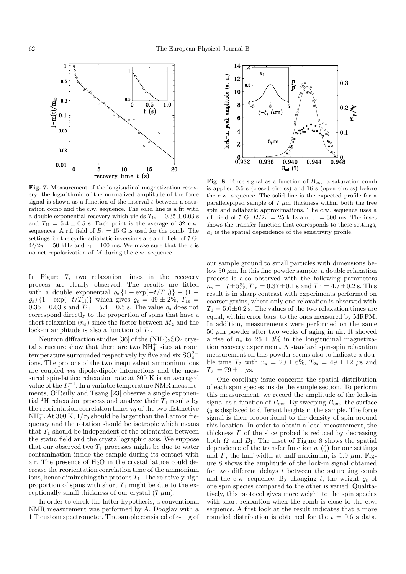

**Fig. 7.** Measurement of the longitudinal magnetization recovery: the logarithmic of the normalized amplitude of the force signal is shown as a function of the interval  $t$  between a saturation comb and the c.w. sequence. The solid line is a fit with a double exponential recovery which yields  $T_{1s} = 0.35 \pm 0.03$  s and  $T_{11} = 5.4 \pm 0.5$  s. Each point is the average of 32 c.w. sequences. A r.f. field of  $B_1 = 15$  G is used for the comb. The settings for the cyclic adiabatic inversions are a r.f. field of 7 G,  $\Omega/2\pi = 50$  kHz and  $\tau_1 = 100$  ms. We make sure that there is no net repolarization of  $M$  during the c.w. sequence.

In Figure 7, two relaxation times in the recovery process are clearly observed. The results are fitted with a double exponential  $\varrho_{s} \{1 - \exp(-t/T_{1s})\} + (1 (\rho_{\rm s})$  {1 – exp( $-t/T_{11}$ )} which gives  $\rho_{\rm s} = 49 \pm 2\%$ ,  $T_{1\rm s} =$  $0.35 \pm 0.03$  s and  $T_{11} = 5.4 \pm 0.5$  s. The value  $\rho_s$  does not correspond directly to the proportion of spins that have a short relaxation  $(n_s)$  since the factor between  $M_z$  and the lock-in amplitude is also a function of  $T_1$ .

Neutron diffraction studies [36] of the  $(NH_4)_2SO_4$  crystal structure show that there are two  $NH<sub>4</sub><sup>+</sup>$  sites at room temperature surrounded respectively by five and six  $SO_4^{2-}$ ions. The protons of the two inequivalent ammonium ions are coupled via dipole-dipole interactions and the measured spin-lattice relaxation rate at 300 K is an averaged value of the  $T_1^{-1}$ . In a variable temperature NMR measurements, O'Reilly and Tsang [23] observe a single exponential <sup>1</sup>H relaxation process and analyze their  $T_1$  results by the reorientation correlation times  $\tau_0$  of the two distinctive  $NH_4^+$ . At 300 K,  $1/\tau_0$  should be larger than the Larmor frequency and the rotation should be isotropic which means that  $T_1$  should be independent of the orientation between the static field and the crystallographic axis. We suppose that our observed two  $T_1$  processes might be due to water contamination inside the sample during its contact with air. The presence of  $H_2O$  in the crystal lattice could decrease the reorientation correlation time of the ammonium ions, hence diminishing the protons  $T_1$ . The relatively high proportion of spins with short  $T_1$  might be due to the exceptionally small thickness of our crystal  $(7 \mu m)$ .

In order to check the latter hypothesis, a conventional NMR measurement was performed by A. Dooglav with a 1 T custom spectrometer. The sample consisted of ∼ 1 g of



**Fig. 8.** Force signal as a function of  $B_{\text{ext}}$ : a saturation comb is applied 0.6 s (closed circles) and 16 s (open circles) before the c.w. sequence. The solid line is the expected profile for a parallelepiped sample of  $7 \mu m$  thickness within both the free spin and adiabatic approximations. The c.w. sequence uses a r.f. field of 7 G,  $\Omega/2\pi = 25$  kHz and  $\tau_1 = 300$  ms. The inset shows the transfer function that corresponds to these settings,  $a_1$  is the spatial dependence of the sensitivity profile.

our sample ground to small particles with dimensions below 50  $\mu$ m. In this fine powder sample, a double relaxation process is also observed with the following parameters  $n_s = 17 \pm 5\%, T_{1s} = 0.37 \pm 0.1$  s and  $T_{11} = 4.7 \pm 0.2$  s. This result is in sharp contrast with experiments performed on coarser grains, where only one relaxation is observed with  $T_1 = 5.0 \pm 0.2$  s. The values of the two relaxation times are equal, within error bars, to the ones measured by MRFM. In addition, measurements were performed on the same  $50 \ \mu m$  powder after two weeks of aging in air. It showed a rise of  $n_s$  to  $26 \pm 3\%$  in the longitudinal magnetization recovery experiment. A standard spin-spin relaxation measurement on this powder seems also to indicate a double time  $T_2$  with  $n_s = 20 \pm 6\%, T_{2s} = 49 \pm 12 \,\,\mu s$  and  $T_{21} = 79 \pm 1 \,\,\mu s.$ 

One corollary issue concerns the spatial distribution of each spin species inside the sample section. To perform this measurement, we record the amplitude of the lock-in signal as a function of  $B_{\text{ext}}$ . By sweeping  $B_{\text{ext}}$ , the surface  $\zeta_0$  is displaced to different heights in the sample. The force signal is then proportional to the density of spin around this location. In order to obtain a local measurement, the thickness  $\Gamma$  of the slice probed is reduced by decreasing both  $\Omega$  and  $B_1$ . The inset of Figure 8 shows the spatial dependence of the transfer function  $a_1(\zeta)$  for our settings and  $\Gamma$ , the half width at half maximum, is 1.9  $\mu$ m. Figure 8 shows the amplitude of the lock-in signal obtained for two different delays  $t$  between the saturating comb and the c.w. sequence. By changing t, the weight  $\varrho_s$  of one spin species compared to the other is varied. Qualitatively, this protocol gives more weight to the spin species with short relaxation when the comb is close to the c.w. sequence. A first look at the result indicates that a more rounded distribution is obtained for the  $t = 0.6$  s data.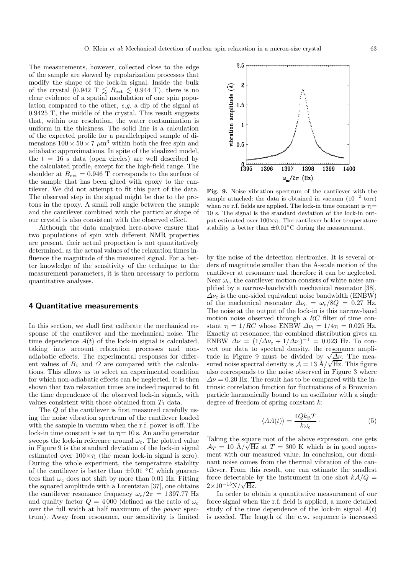The measurements, however, collected close to the edge of the sample are skewed by repolarization processes that modify the shape of the lock-in signal. Inside the bulk of the crystal (0.942 T  $\lesssim$  B<sub>ext</sub>  $\lesssim$  0.944 T), there is no clear evidence of a spatial modulation of one spin population compared to the other, e.g. a dip of the signal at 0.9425 T, the middle of the crystal. This result suggests that, within our resolution, the water contamination is uniform in the thickness. The solid line is a calculation of the expected profile for a parallelepiped sample of dimensions  $100 \times 50 \times 7 \mu m^3$  within both the free spin and adiabatic approximations. In spite of the idealized model, the  $t = 16$  s data (open circles) are well described by the calculated profile, except for the high-field range. The shoulder at  $B_{\text{ext}} = 0.946$  T corresponds to the surface of the sample that has been glued with epoxy to the cantilever. We did not attempt to fit this part of the data. The observed step in the signal might be due to the protons in the epoxy. A small roll angle between the sample and the cantilever combined with the particular shape of our crystal is also consistent with the observed effect.

Although the data analyzed here-above ensure that two populations of spin with different NMR properties are present, their actual proportion is not quantitatively determined, as the actual values of the relaxation times influence the magnitude of the measured signal. For a better knowledge of the sensitivity of the technique to the measurement parameters, it is then necessary to perform quantitative analyses.

#### **4 Quantitative measurements**

In this section, we shall first calibrate the mechanical response of the cantilever and the mechanical noise. The time dependence  $A(t)$  of the lock-in signal is calculated, taking into account relaxation processes and nonadiabatic effects. The experimental responses for different values of  $B_1$  and  $\Omega$  are compared with the calculations. This allows us to select an experimental condition for which non-adiabatic effects can be neglected. It is then shown that two relaxation times are indeed required to fit the time dependence of the observed lock-in signals, with values consistent with those obtained from  $T_1$  data.

The Q of the cantilever is first measured carefully using the noise vibration spectrum of the cantilever loaded with the sample in vacuum when the r.f. power is off. The lock-in time constant is set to  $\tau_1= 10$  s. An audio generator sweeps the lock-in reference around  $\omega_c$ . The plotted value in Figure 9 is the standard deviation of the lock-in signal estimated over  $100 \times \tau_1$  (the mean lock-in signal is zero). During the whole experiment, the temperature stability of the cantilever is better than  $\pm 0.01$  °C which guarantees that  $\omega_c$  does not shift by more than 0.01 Hz. Fitting the squared amplitude with a Lorentzian [37], one obtains the cantilever resonance frequency  $\omega_c/2\pi = 1397.77$  Hz and quality factor  $Q = 4000$  (defined as the ratio of  $\omega_c$ over the full width at half maximum of the power spectrum). Away from resonance, our sensitivity is limited



**Fig. 9.** Noise vibration spectrum of the cantilever with the sample attached: the data is obtained in vacuum  $(10^{-2} \text{ torr})$ when no r.f. fields are applied. The lock-in time constant is  $\tau_1$ = 10 s. The signal is the standard deviation of the lock-in output estimated over  $100 \times \tau$ . The cantilever holder temperature stability is better than  $\pm 0.01$ °C during the measurement.

by the noise of the detection electronics. It is several orders of magnitude smaller than the Å-scale motion of the cantilever at resonance and therefore it can be neglected. Near  $\omega_c$ , the cantilever motion consists of white noise amplified by a narrow-bandwidth mechanical resonator [38].  $\Delta\nu_c$  is the one-sided equivalent noise bandwidth (ENBW) of the mechanical resonator  $\Delta \nu_c = \omega_c / 8Q = 0.27$  Hz. The noise at the output of the lock-in is this narrow-band motion noise observed through a RC filter of time constant  $\tau_1 = 1/RC$  whose ENBW  $\Delta \nu_1 = 1/4\tau_1 = 0.025$  Hz. Exactly at resonance, the combined distribution gives an ENBW  $\Delta \nu = (1/\Delta \nu_c + 1/\Delta \nu_l)^{-1} = 0.023$  Hz. To convert our data to spectral density, the resonance amplivert our data to spectral density, the resonance ampli-<br>tude in Figure 9 must be divided by  $\sqrt{\frac{\Delta \nu}{\epsilon}}$ . The measured noise spectral density is  $\mathcal{A} = 13 \text{ Å}/\sqrt{\text{Hz}}$ . This figure also corresponds to the noise observed in Figure 3 where  $\Delta \nu = 0.20$  Hz. The result has to be compared with the intrinsic correlation function for fluctuations of a Brownian particle harmonically bound to an oscillator with a single degree of freedom of spring constant k:

$$
\langle AA(t)\rangle = \frac{4Qk_{\rm B}T}{k\omega_{\rm c}}\,. \tag{5}
$$

Taking the square root of the above expression, one gets  $\mathcal{A}_T = 10 \text{ \AA}/\sqrt{\text{Hz}}$  at  $T = 300 \text{ K}$  which is in good agreement with our measured value. In conclusion, our dominant noise comes from the thermal vibration of the cantilever. From this result, one can estimate the smallest force detectable by the instrument in one shot  $k\mathcal{A}/Q =$  $2\times10^{-15}\mathrm{N}/\sqrt{\mathrm{Hz}}$ .

In order to obtain a quantitative measurement of our force signal when the r.f. field is applied, a more detailed study of the time dependence of the lock-in signal  $A(t)$ is needed. The length of the c.w. sequence is increased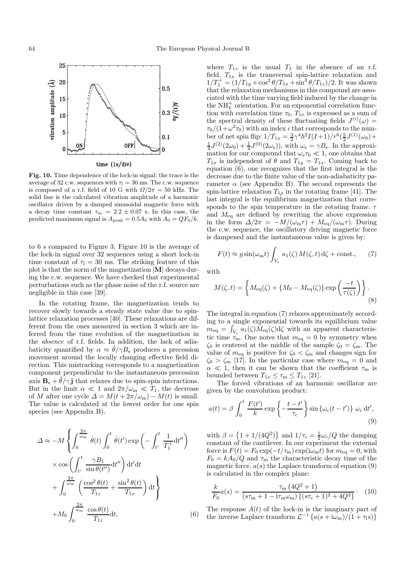

**Fig. 10.** Time dependence of the lock-in signal: the trace is the average of 32 c.w. sequences with  $\tau_1 = 30$  ms. The c.w. sequence is composed of a r.f. field of 10 G with  $\Omega/2\pi = 50$  kHz. The solid line is the calculated vibration amplitude of a harmonic oscillator driven by a damped sinusoidal magnetic force with a decay time constant  $\tau_{\text{m}} = 2.2 \pm 0.07$  s. In this case, the predicted maximum signal is  $A_{\text{peak}} = 0.5A_0$  with  $A_0 = QF_0/k$ .

to 6 s compared to Figure 3. Figure 10 is the average of the lock-in signal over 32 sequences using a short lock-in time constant of  $\tau_1 = 30$  ms. The striking feature of this plot is that the norm of the magnetization |**M**| decays during the c.w. sequence. We have checked that experimental perturbations such as the phase noise of the r.f. source are negligible in this case [39].

In the rotating frame, the magnetization tends to recover slowly towards a steady state value due to spinlattice relaxation processes [40]. These relaxations are different from the ones measured in section 3 which are inferred from the time evolution of the magnetization in the absence of r.f. fields. In addition, the lack of adiabaticity quantified by  $\alpha \approx \dot{\theta}/\gamma B_{\rm e}$  produces a precession movement around the locally changing effective field direction. This mistracking corresponds to a magnetization component perpendicular to the instantaneous precession axis  $\mathbf{B}_{e} + \dot{\theta}/\gamma \mathbf{j}$  that relaxes due to spin-spin interactions. But in the limit  $\alpha \ll 1$  and  $2\pi/\omega_m \ll T_1$ , the decrease of M after one cycle  $\Delta = M(t + 2\pi/\omega_m) - M(t)$  is small. The value is calculated at the lowest order for one spin species (see Appendix B).

$$
\Delta \approx -M \left\{ \int_0^{\frac{2\pi}{\omega_m}} \dot{\theta}(t) \int_0^t \dot{\theta}(t') \exp\left(-\int_{t'}^t \frac{1}{T_1^+} dt''\right) \right.\times \cos\left(\int_{t'}^t \frac{\gamma B_1}{\sin\theta(t'')} dt''\right) dt'dt+ \int_0^{\frac{2\pi}{\omega_m}} \left(\frac{\cos^2\theta(t)}{T_{1z}} + \frac{\sin^2\theta(t)}{T_{1x}}\right) dt \right\}+ M_0 \int_0^{\frac{2\pi}{\omega_m}} \frac{\cos\theta(t)}{T_{1z}} dt,
$$
 (6)

where  $T_{1z}$  is the usual  $T_1$  in the absence of an r.f. field,  $T_{1x}$  is the transversal spin-lattice relaxation and  $1/T_1^+ = (1/T_{1y} + \cos^2 \theta/T_{1x} + \sin^2 \theta/T_{1z})/2$ . It was shown that the relaxation mechanisms in this compound are associated with the time varying field induced by the change in the  $\mathrm{NH}_4^+$  orientation. For an exponential correlation function with correlation time  $\tau_0$ ,  $T_{1x}$  is expressed as a sum of the spectral density of these fluctuating fields  $J^{(i)}(\omega) =$  $\tau_0/(1+\omega^2\tau_0)$  with an index *i* that corresponds to the number of net spin flip:  $1/T_{1x} = \frac{3}{2}\gamma^4\hbar^2 I(I+1)/r^6(\frac{5}{2}J^{(1)}(\omega_0)+$  $\frac{1}{4}J^{(2)}(2\omega_0) + \frac{1}{4}J^{(0)}(2\omega_e)$ , with  $\omega_e = \gamma B_e$ . In the approximation for our compound that  $\omega_{\rm e} \tau_0 \ll 1$ , one obtains that  $T_{1x}$  is independent of  $\theta$  and  $T_{1y} = T_{1x}$ . Coming back to equation (6), one recognizes that the first integral is the decrease due to the finite value of the non-adiabaticity parameter  $\alpha$  (see Appendix B). The second represents the spin-lattice relaxation  $T_{1\rho}$  in the rotating frame [41]. The last integral is the equilibrium magnetization that corresponds to the spin temperature in the rotating frame.  $\tau$ and  $M_{\text{eq}}$  are defined by rewriting the above expression in the form  $\Delta/2\pi = -M/(\omega_m\tau) + M_{\text{eq}}/(\omega_m\tau)$ . During the c.w. sequence, the oscillatory driving magnetic force is dampened and the instantaneous value is given by:

$$
F(t) \approx g \sin(\omega_{\rm m} t) \int_{V_{\rm s}} a_1(\zeta) M(\zeta, t) d\zeta + \text{const.}, \qquad (7)
$$

with

$$
M(\zeta, t) = \left\{ M_{\text{eq}}(\zeta) + \left\{ M_0 - M_{\text{eq}}(\zeta) \right\} \exp\left(\frac{-t}{\tau(\zeta)}\right) \right\}.
$$
\n(8)

The integral in equation (7) relaxes approximately according to a single exponential towards its equilibrium value  $m_{\text{eq}} = \int_{V_{\text{s}}} a_1(\zeta) \dot{M}_{\text{eq}}(\zeta) d\zeta$  with an apparent characteristic time  $\tau_m$ . One notes that  $m_{\text{eq}} = 0$  by symmetry when  $\zeta_0$  is centered at the middle of the sample  $\zeta_0 = \zeta_m$ . The value of  $m_{\text{eq}}$  is positive for  $\zeta_0 < \zeta_{\text{m}}$  and changes sign for  $\zeta_0 > \zeta_m$  [17]. In the particular case where  $m_{\text{eq}} = 0$  and  $\alpha \ll 1$ , then it can be shown that the coefficient  $\tau_{\rm m}$  is bounded between  $T_{1x} \leq \tau_m \leq T_{1z}$  [21].

The forced vibrations of an harmonic oscillator are given by the convolution product:

$$
a(t) = \beta \int_0^t \frac{F(t')}{k} \exp\left\{-\frac{t - t'}{\tau_c}\right\} \sin\left\{\omega_c(t - t')\right\} \omega_c dt',
$$
\n(9)

with  $\beta = \left\{1 + 1/(4Q^2)\right\}$  and  $1/\tau_c = \frac{1}{2}\omega_c/Q$  the damping constant of the cantilever. In our experiment the external force is  $F(t) = F_0 \exp(-t/\tau_m) \exp(i\omega_m t)$  for  $m_{\text{eq}} = 0$ , with  $F_0 = kA_0/Q$  and  $\tau_m$  the characteristic decay time of the magnetic force.  $a(s)$  the Laplace transform of equation (9) is calculated in the complex plane:

$$
\frac{k}{F_0}a(s) = \frac{\tau_{\rm m} (4Q^2 + 1)}{(s\tau_{\rm m} + 1 - i\tau_{\rm m}\omega_{\rm m})\{(s\tau_{\rm c} + 1)^2 + 4Q^2\}}.
$$
 (10)

The response  $A(t)$  of the lock-in is the imaginary part of the inverse Laplace transform  $\mathcal{L}^{-1} \left\{ a(s + i\omega_m)/(1 + \tau(s)) \right\}$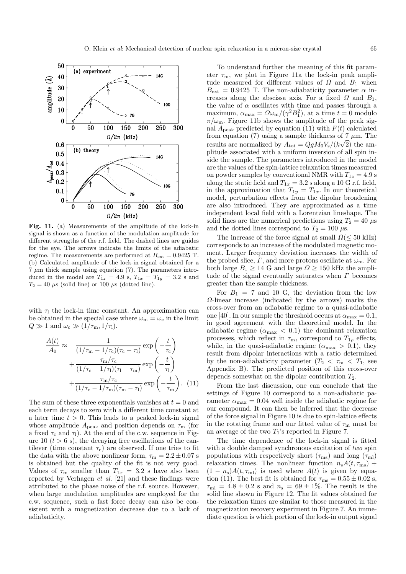

**Fig. 11.** (a) Measurements of the amplitude of the lock-in signal is shown as a function of the modulation amplitude for different strengths of the r.f. field. The dashed lines are guides for the eye. The arrows indicate the limits of the adiabatic regime. The measurements are performed at  $B_{\text{ext}} = 0.9425$  T. (b) Calculated amplitude of the lock-in signal obtained for a  $7 \mu m$  thick sample using equation (7). The parameters introduced in the model are  $T_{1z} = 4.9$  s,  $T_{1x} = T_{1y} = 3.2$  s and  $T_2 = 40 \mu s$  (solid line) or 100  $\mu s$  (dotted line).

with  $\eta$  the lock-in time constant. An approximation can be obtained in the special case where  $\omega_m = \omega_c$  in the limit  $Q \gg 1$  and  $\omega_{\rm c} \gg (1/\tau_{\rm m}, 1/\tau_{\rm l}).$ 

$$
\frac{A(t)}{A_0} \approx \frac{1}{(1/\tau_m - 1/\tau_c)(\tau_c - \tau_l)} \exp\left(-\frac{t}{\tau_c}\right)
$$

$$
+ \frac{\tau_m/\tau_c}{(1/\tau_c - 1/\tau_l)(\tau_l - \tau_m)} \exp\left(-\frac{t}{\tau_l}\right)
$$

$$
+ \frac{\tau_m/\tau_c}{(1/\tau_c - 1/\tau_m)(\tau_m - \tau_l)} \exp\left(-\frac{t}{\tau_m}\right). (11)
$$

The sum of these three exponentials vanishes at  $t = 0$  and each term decays to zero with a different time constant at a later time  $t > 0$ . This leads to a peaked lock-in signal whose amplitude  $A_{\text{peak}}$  and position depends on  $\tau_{\text{m}}$  (for a fixed  $\tau_c$  and  $\tau_l$ ). At the end of the c.w. sequence in Figure 10  $(t > 6 s)$ , the decaying free oscillations of the cantilever (time constant  $\tau_c$ ) are observed. If one tries to fit the data with the above nonlinear form,  $\tau_m = 2.2 \pm 0.07$  s is obtained but the quality of the fit is not very good. Values of  $\tau_{\rm m}$  smaller than  $T_{1x} = 3.2$  s have also been reported by Verhagen *et al.* [21] and these findings were attributed to the phase noise of the r.f. source. However, when large modulation amplitudes are employed for the c.w. sequence, such a fast force decay can also be consistent with a magnetization decrease due to a lack of adiabaticity.

To understand further the meaning of this fit parameter  $\tau_m$ , we plot in Figure 11a the lock-in peak amplitude measured for different values of  $\Omega$  and  $B_1$  when  $B_{\text{ext}} = 0.9425$  T. The non-adiabaticity parameter  $\alpha$  increases along the abscissa axis. For a fixed  $\Omega$  and  $B_1$ , the value of  $\alpha$  oscillates with time and passes through a maximum,  $\alpha_{\text{max}} = \Omega \omega_{\text{m}} / (\gamma^2 B_1^2)$ , at a time  $t = 0$  modulo  $\pi/\omega_{\rm m}$ . Figure 11b shows the amplitude of the peak signal  $A_{\text{peak}}$  predicted by equation (11) with  $F(t)$  calculated from equation (7) using a sample thickness of 7  $\mu$ m. The results are normalized by  $A_{\text{tot}} = QgM_0V_s/(k\sqrt{2})$  the amplitude associated with a uniform inversion of all spin inside the sample. The parameters introduced in the model are the values of the spin-lattice relaxation times measured on powder samples by conventional NMR with  $T_{1z} = 4.9$  s along the static field and  $T_{1x} = 3.2$  s along a 10 G r.f. field, in the approximation that  $T_{1y} = T_{1x}$ . In our theoretical model, perturbation effects from the dipolar broadening are also introduced. They are approximated as a time independent local field with a Lorentzian lineshape. The solid lines are the numerical predictions using  $T_2 = 40 \mu s$ and the dotted lines correspond to  $T_2 = 100 \,\mu s$ .

The increase of the force signal at small  $\Omega(\leq 50 \text{ kHz})$ corresponds to an increase of the modulated magnetic moment. Larger frequency deviation increases the width of the probed slice,  $\Gamma$ , and more protons oscillate at  $\omega_{\rm m}$ . For both large  $B_1 \geq 14$  G and large  $\Omega \geq 150$  kHz the amplitude of the signal eventually saturates when  $\Gamma$  becomes greater than the sample thickness.

For  $B_1 = 7$  and 10 G, the deviation from the low Ω-linear increase (indicated by the arrows) marks the cross-over from an adiabatic regime to a quasi-adiabatic one [40]. In our sample the threshold occurs at  $\alpha_{\text{max}} = 0.1$ , in good agreement with the theoretical model. In the adiabatic regime  $(\alpha_{\text{max}} < 0.1)$  the dominant relaxation processes, which reflect in  $\tau_{\rm m}$ , correspond to  $T_{1\rho}$  effects, while, in the quasi-adiabatic regime  $(\alpha_{\text{max}} > 0.1)$ , they result from dipolar interactions with a ratio determined by the non-adiabaticity parameter  $(T_2 < \tau_m < T_1$ , see Appendix B). The predicted position of this cross-over depends somewhat on the dipolar contribution  $T_2$ .

From the last discussion, one can conclude that the settings of Figure 10 correspond to a non-adiabatic parameter  $\alpha_{\text{max}} = 0.04$  well inside the adiabatic regime for our compound. It can then be inferred that the decrease of the force signal in Figure 10 is due to spin-lattice effects in the rotating frame and our fitted value of  $\tau_{\rm m}$  must be an average of the two  $T_1$ 's reported in Figure 7.

The time dependence of the lock-in signal is fitted with a double damped synchronous excitation of two spin populations with respectively short  $(\tau_{\text{ms}})$  and long  $(\tau_{\text{ml}})$ relaxation times. The nonlinear function  $n_s A(t, \tau_{\text{ms}})$  +  $(1 - n_s)A(t, \tau_{\text{ml}})$  is used where  $A(t)$  is given by equation (11). The best fit is obtained for  $\tau_{\rm ms} = 0.55 \pm 0.02$  s,  $\tau_{\text{ml}} = 4.8 \pm 0.2$  s and  $n_{\text{s}} = 69 \pm 1\%$ . The result is the solid line shown in Figure 12. The fit values obtained for the relaxation times are similar to those measured in the magnetization recovery experiment in Figure 7. An immediate question is which portion of the lock-in output signal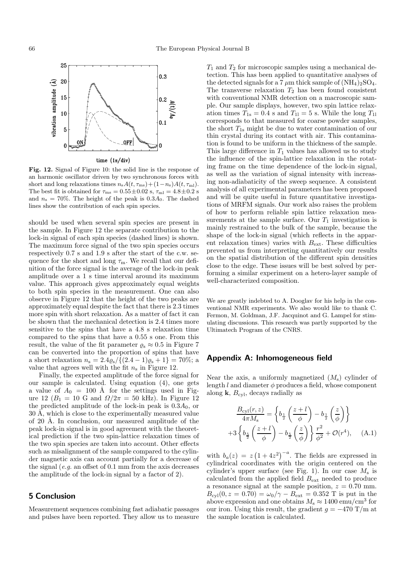

**Fig. 12.** Signal of Figure 10: the solid line is the response of an harmonic oscillator driven by two synchronous forces with short and long relaxations times  $n_sA(t, \tau_{\text{ms}})+(1-n_s)A(t, \tau_{\text{ml}}).$ The best fit is obtained for  $\tau_{\rm ms} = 0.55 \pm 0.02$  s,  $\tau_{\rm ml} = 4.8 \pm 0.2$  s and  $n_s = 70\%$ . The height of the peak is  $0.3A_0$ . The dashed lines show the contribution of each spin species.

should be used when several spin species are present in the sample. In Figure 12 the separate contribution to the lock-in signal of each spin species (dashed lines) is shown. The maximum force signal of the two spin species occurs respectively 0.7 s and 1.9 s after the start of the c.w. sequence for the short and long  $\tau_{\rm m}$ . We recall that our definition of the force signal is the average of the lock-in peak amplitude over a 1 s time interval around its maximum value. This approach gives approximately equal weights to both spin species in the measurement. One can also observe in Figure 12 that the height of the two peaks are approximately equal despite the fact that there is 2.3 times more spin with short relaxation. As a matter of fact it can be shown that the mechanical detection is 2.4 times more sensitive to the spins that have a 4.8 s relaxation time compared to the spins that have a 0.55 s one. From this result, the value of the fit parameter  $\rho_s \approx 0.5$  in Figure 7 can be converted into the proportion of spins that have a short relaxation  $n_s = 2.4 \rho_s / \{(2.4 - 1)\rho_s + 1\} = 70\%;$  a value that agrees well with the fit  $n_s$  in Figure 12.

Finally, the expected amplitude of the force signal for our sample is calculated. Using equation (4), one gets a value of  $A_0 = 100$  Å for the settings used in Figure 12 ( $B_1 = 10$  G and  $\Omega/2\pi = 50$  kHz). In Figure 12 the predicted amplitude of the lock-in peak is  $0.3A_0$ , or  $30 \text{ Å}$ , which is close to the experimentally measured value of 20 Å. In conclusion, our measured amplitude of the peak lock-in signal is in good agreement with the theoretical prediction if the two spin-lattice relaxation times of the two spin species are taken into account. Other effects such as misalignment of the sample compared to the cylinder magnetic axis can account partially for a decrease of the signal (e.g. an offset of 0.1 mm from the axis decreases the amplitude of the lock-in signal by a factor of 2).

## **5 Conclusion**

Measurement sequences combining fast adiabatic passages and pulses have been reported. They allow us to measure

 $T_1$  and  $T_2$  for microscopic samples using a mechanical detection. This has been applied to quantitative analyses of the detected signals for a 7  $\mu$ m thick sample of (NH<sub>4</sub>)<sub>2</sub>SO<sub>4</sub>. The transverse relaxation  $T_2$  has been found consistent with conventional NMR detection on a macroscopic sample. Our sample displays, however, two spin lattice relaxation times  $T_{1s} = 0.4$  s and  $T_{11} = 5$  s. While the long  $T_{11}$ corresponds to that measured for coarse powder samples, the short  $T_{1s}$  might be due to water contamination of our thin crystal during its contact with air. This contamination is found to be uniform in the thickness of the sample. This large difference in  $T_1$  values has allowed us to study the influence of the spin-lattice relaxation in the rotating frame on the time dependence of the lock-in signal, as well as the variation of signal intensity with increasing non-adiabaticity of the sweep sequence. A consistent analysis of all experimental parameters has been proposed and will be quite useful in future quantitative investigations of MRFM signals. Our work also raises the problem of how to perform reliable spin lattice relaxation measurements at the sample surface. Our  $T_1$  investigation is mainly restrained to the bulk of the sample, because the shape of the lock-in signal (which reflects in the apparent relaxation times) varies with  $B_{\text{ext}}$ . These difficulties prevented us from interpreting quantitatively our results on the spatial distribution of the different spin densities close to the edge. These issues will be best solved by performing a similar experiment on a hetero-layer sample of well-characterized composition.

We are greatly indebted to A. Dooglav for his help in the conventional NMR experiments. We also would like to thank C. Fermon, M. Goldman, J.F. Jacquinot and G. Lampel for stimulating discussions. This research was partly supported by the Ultimatech Program of the CNRS.

#### **Appendix A: Inhomogeneous field**

Near the axis, a uniformly magnetized  $(M<sub>s</sub>)$  cylinder of length  $l$  and diameter  $\phi$  produces a field, whose component along  $k$ ,  $B_{cyl}$ , decays radially as

$$
\frac{B_{\text{cyl}}(r,z)}{4\pi M_{\text{s}}} = \left\{ b_{\frac{1}{2}} \left( \frac{z+l}{\phi} \right) - b_{\frac{1}{2}} \left( \frac{z}{\phi} \right) \right\}
$$

$$
+ 3 \left\{ b_{\frac{5}{2}} \left( \frac{z+l}{\phi} \right) - b_{\frac{5}{2}} \left( \frac{z}{\phi} \right) \right\} \frac{r^2}{\phi^2} + \mathcal{O}(r^4), \quad \text{(A.1)}
$$

with  $b_a(z) = z(1+4z^2)^{-a}$ . The fields are expressed in cylindrical coordinates with the origin centered on the cylinder's upper surface (see Fig. 1). In our case  $M_s$  is calculated from the applied field  $B_{\text{ext}}$  needed to produce a resonance signal at the sample position,  $z = 0.70$  mm.  $B_{\text{cyl}}(0, z = 0.70) = \omega_0/\gamma - B_{\text{ext}} = 0.352 \text{ T}$  is put in the above expression and one obtains  $M_s \approx 1400 \text{ emu/cm}^3$  for our iron. Using this result, the gradient  $g = -470 \text{ T/m at}$ the sample location is calculated.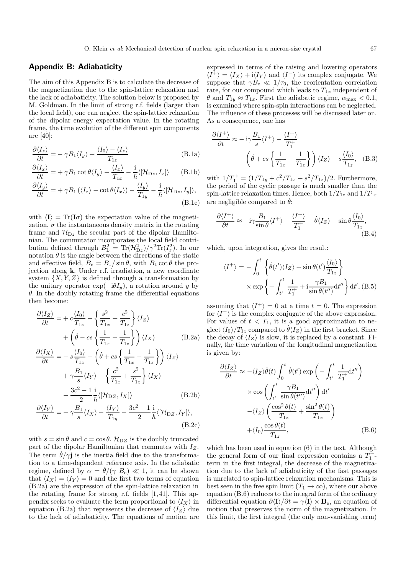#### **Appendix B: Adiabaticity**

The aim of this Appendix B is to calculate the decrease of the magnetization due to the spin-lattice relaxation and the lack of adiabaticity. The solution below is proposed by M. Goldman. In the limit of strong r.f. fields (larger than the local field), one can neglect the spin-lattice relaxation of the dipolar energy expectation value. In the rotating frame, the time evolution of the different spin components are [40]:

$$
\frac{\partial \langle I_z \rangle}{\partial t} = -\gamma B_1 \langle I_y \rangle + \frac{\langle I_0 \rangle - \langle I_z \rangle}{T_{1z}}
$$
(B.1a)

$$
\frac{\partial \langle I_x \rangle}{\partial t} = + \gamma B_1 \cot \theta \langle I_y \rangle - \frac{\langle I_x \rangle}{T_{1x}} - \frac{i}{\hbar} \langle [\mathcal{H}_{Dz}, I_x] \rangle \qquad (B.1b)
$$

$$
\frac{\partial \langle I_y \rangle}{\partial t} = + \gamma B_1 (\langle I_z \rangle - \cot \theta \langle I_x \rangle) - \frac{\langle I_y \rangle}{T_{1y}} - \frac{i}{\hbar} \langle [\mathcal{H}_{Dz}, I_y] \rangle, \tag{B.1c}
$$

with  $\langle I \rangle = \text{Tr}(I\sigma)$  the expectation value of the magnetization,  $\sigma$  the instantaneous density matrix in the rotating frame and  $\mathcal{H}_{Dz}$  the secular part of the dipolar Hamiltonian. The commutator incorporates the local field contribution defined through  $B_{\rm L}^2 = {\rm Tr}(\mathcal{H}_{\rm Dz}^2)/\gamma^2 {\rm Tr}(I_z^2)$ . In our notation  $\theta$  is the angle between the directions of the static and effective field,  $B_e = B_1 / \sin \theta$ , with  $B_1 \cot \theta$  the projection along **k**. Under r.f. irradiation, a new coordinate system  $\{X, Y, Z\}$  is defined through a transformation by the unitary operator  $\exp(-i\theta I_y)$ , a rotation around y by  $\theta$ . In the doubly rotating frame the differential equations then become:

$$
\frac{\partial \langle I_Z \rangle}{\partial t} = + c \frac{\langle I_0 \rangle}{T_{1z}} - \left\{ \frac{s^2}{T_{1x}} + \frac{c^2}{T_{1z}} \right\} \langle I_Z \rangle \n+ \left( \dot{\theta} - cs \left\{ \frac{1}{T_{1x}} - \frac{1}{T_{1z}} \right\} \right) \langle I_X \rangle \tag{B.2a}
$$
\n
$$
\frac{\partial \langle I_X \rangle}{\partial t} = -s \frac{\langle I_0 \rangle}{T_{1x}} - \left( \dot{\theta} + cs \left\{ \frac{1}{T_{1x}} - \frac{1}{T_{1z}} \right\} \right) \langle I_Z \rangle
$$

$$
\frac{\partial \langle I_X \rangle}{\partial t} = -s \frac{\langle I_0 \rangle}{T_{1z}} - \left(\dot{\theta} + cs \left\{ \frac{1}{T_{1x}} - \frac{1}{T_{1z}} \right\} \right) \langle I_Z \rangle \n+ \gamma \frac{B_1}{s} \langle I_Y \rangle - \left\{ \frac{c^2}{T_{1x}} + \frac{s^2}{T_{1z}} \right\} \langle I_X \rangle \n- \frac{3c^2 - 1}{2} \frac{i}{\hbar} \langle [\mathcal{H}_{\text{DZ}}, I_X] \rangle
$$
\n(B.2b)

$$
\frac{\partial \langle I_Y \rangle}{\partial t} = -\gamma \frac{B_1}{s} \langle I_X \rangle - \frac{\langle I_Y \rangle}{T_{1y}} - \frac{3c^2 - 1}{2} \frac{\mathrm{i}}{\hbar} \langle [\mathcal{H}_{\mathrm{D}Z}, I_Y] \rangle, \tag{B.2c}
$$

with  $s = \sin \theta$  and  $c = \cos \theta$ .  $\mathcal{H}_{DZ}$  is the doubly truncated part of the dipolar Hamiltonian that commutes with  $I_Z$ . The term  $\dot{\theta}/\gamma$ **j** is the inertia field due to the transformation to a time-dependent reference axis. In the adiabatic regime, defined by  $\alpha = \dot{\theta} / (\gamma \ B_e) \ll 1$ , it can be shown that  $\langle I_X \rangle = \langle I_Y \rangle = 0$  and the first two terms of equation (B.2a) are the expression of the spin-lattice relaxation in the rotating frame for strong r.f. fields [1,41]. This appendix seeks to evaluate the term proportional to  $\langle I_X \rangle$  in equation (B.2a) that represents the decrease of  $\langle I_z \rangle$  due to the lack of adiabaticity. The equations of motion are expressed in terms of the raising and lowering operators  $\langle I^+\rangle = \langle I_X \rangle + i\langle I_Y \rangle$  and  $\langle I^-\rangle$  its complex conjugate. We suppose that  $\gamma B_{\rm e} \ll 1/\tau_0$ , the reorientation correlation rate, for our compound which leads to  $T_{1x}$  independent of  $\theta$  and  $T_{1y} \approx T_{1x}$ . First the adiabatic regime,  $\alpha_{\text{max}} < 0.1$ , is examined where spin-spin interactions can be neglected. The influence of these processes will be discussed later on. As a consequence, one has

$$
\frac{\partial \langle I^{+} \rangle}{\partial t} \approx -i\gamma \frac{B_1}{s} \langle I^{+} \rangle - \frac{\langle I^{+} \rangle}{T_1^{+}} - \left( \dot{\theta} + cs \left\{ \frac{1}{T_{1x}} - \frac{1}{T_{1z}} \right\} \right) \langle I_{Z} \rangle - s \frac{\langle I_{0} \rangle}{T_{1z}}, \quad (B.3)
$$

with  $1/T_1^+ = (1/T_{1y} + c^2/T_{1x} + s^2/T_{1z})/2$ . Furthermore, the period of the cyclic passage is much smaller than the spin-lattice relaxation times. Hence, both  $1/T_{1z}$  and  $1/T_{1x}$ are negligible compared to  $\dot{\theta}$ :

$$
\frac{\partial \langle I^{+} \rangle}{\partial t} \approx -i\gamma \frac{B_1}{\sin \theta} \langle I^{+} \rangle - \frac{\langle I^{+} \rangle}{T_1^{+}} - \dot{\theta} \langle I_Z \rangle - \sin \theta \frac{\langle I_0 \rangle}{T_{1z}},
$$
\n(B.4)

which, upon integration, gives the result:

$$
\langle I^{+} \rangle = -\int_{0}^{t} \left\{ \dot{\theta}(t') \langle I_{Z} \rangle + \sin \theta(t') \frac{\langle I_{0} \rangle}{T_{1z}} \right\} \times \exp \left\{ -\int_{t'}^{t} \frac{1}{T_{1}^{+}} + i \frac{\gamma B_{1}}{\sin \theta(t'')} dt'' \right\} dt', (B.5)
$$

assuming that  $\langle I^+ \rangle = 0$  at a time  $t = 0$ . The expression for  $\langle I^{-} \rangle$  is the complex conjugate of the above expression. For values of  $t < T_1$ , it is a good approximation to neglect  $\langle I_0 \rangle / T_{1z}$  compared to  $\dot{\theta} \langle I_Z \rangle$  in the first bracket. Since the decay of  $\langle I_z \rangle$  is slow, it is replaced by a constant. Finally, the time variation of the longitudinal magnetization is given by:

$$
\frac{\partial \langle I_Z \rangle}{\partial t} \approx -\langle I_Z \rangle \dot{\theta}(t) \int_0^t \dot{\theta}(t') \exp\left(-\int_{t'}^t \frac{1}{T_1^+} dt''\right) \times \cos\left(\int_{t'}^t \frac{\gamma B_1}{\sin \theta(t'')} dt''\right) dt' \n- \langle I_Z \rangle \left(\frac{\cos^2 \theta(t)}{T_{1z}} + \frac{\sin^2 \theta(t)}{T_{1x}}\right) \n+ \langle I_0 \rangle \frac{\cos \theta(t)}{T_{1z}}, \tag{B.6}
$$

which has been used in equation (6) in the text. Although the general form of our final expression contains a  $T_1^+$ term in the first integral, the decrease of the magnetization due to the lack of adiabaticity of the fast passages is unrelated to spin-lattice relaxation mechanisms. This is best seen in the free spin limit  $(T_1 \rightarrow \infty)$ , where our above equation (B.6) reduces to the integral form of the ordinary differential equation  $\partial \langle I \rangle / \partial t = \gamma \langle I \rangle \times \mathbf{B}_{e}$ , an equation of motion that preserves the norm of the magnetization. In this limit, the first integral (the only non-vanishing term)